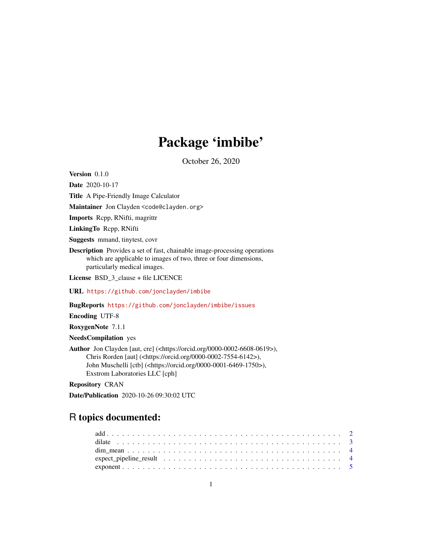# Package 'imbibe'

October 26, 2020

<span id="page-0-0"></span>Version 0.1.0

Date 2020-10-17 Title A Pipe-Friendly Image Calculator Maintainer Jon Clayden <code@clayden.org> Imports Rcpp, RNifti, magrittr LinkingTo Rcpp, RNifti Suggests mmand, tinytest, covr Description Provides a set of fast, chainable image-processing operations which are applicable to images of two, three or four dimensions, particularly medical images. License BSD\_3\_clause + file LICENCE URL <https://github.com/jonclayden/imbibe> BugReports <https://github.com/jonclayden/imbibe/issues>

Encoding UTF-8

RoxygenNote 7.1.1

NeedsCompilation yes

Author Jon Clayden [aut, cre] (<https://orcid.org/0000-0002-6608-0619>), Chris Rorden [aut] (<https://orcid.org/0000-0002-7554-6142>), John Muschelli [ctb] (<https://orcid.org/0000-0001-6469-1750>), Exstrom Laboratories LLC [cph]

Repository CRAN

Date/Publication 2020-10-26 09:30:02 UTC

# R topics documented: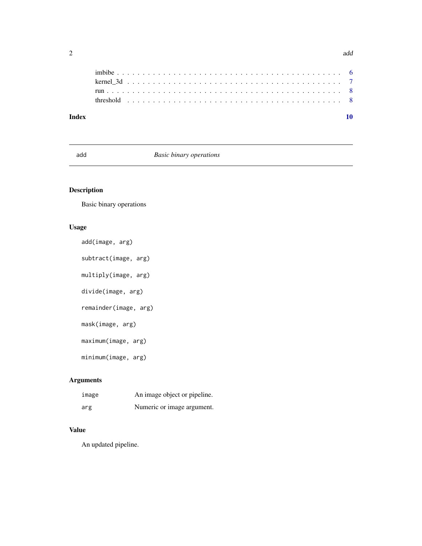<span id="page-1-0"></span>

| Index |                                                                                                        |  |  |  |  |  |  |  |  |  |  |  |  |  |  |  |  |  |  |  |  |  |
|-------|--------------------------------------------------------------------------------------------------------|--|--|--|--|--|--|--|--|--|--|--|--|--|--|--|--|--|--|--|--|--|
|       | threshold $\ldots \ldots \ldots \ldots \ldots \ldots \ldots \ldots \ldots \ldots \ldots \ldots \ldots$ |  |  |  |  |  |  |  |  |  |  |  |  |  |  |  |  |  |  |  |  |  |
|       |                                                                                                        |  |  |  |  |  |  |  |  |  |  |  |  |  |  |  |  |  |  |  |  |  |
|       |                                                                                                        |  |  |  |  |  |  |  |  |  |  |  |  |  |  |  |  |  |  |  |  |  |
|       |                                                                                                        |  |  |  |  |  |  |  |  |  |  |  |  |  |  |  |  |  |  |  |  |  |
|       |                                                                                                        |  |  |  |  |  |  |  |  |  |  |  |  |  |  |  |  |  |  |  |  |  |

# add *Basic binary operations*

# Description

Basic binary operations

# Usage

```
add(image, arg)
subtract(image, arg)
multiply(image, arg)
divide(image, arg)
remainder(image, arg)
mask(image, arg)
maximum(image, arg)
minimum(image, arg)
```
# Arguments

| ımage | An image object or pipeline. |
|-------|------------------------------|
| arg   | Numeric or image argument.   |

# Value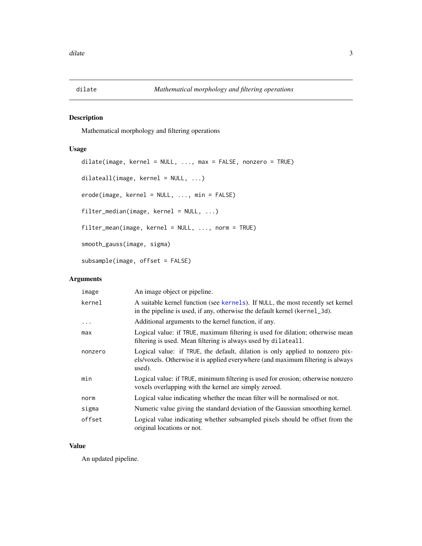<span id="page-2-0"></span>

Mathematical morphology and filtering operations

#### Usage

```
dilate(image, kernel = NULL, ..., max = FALSE, nonzero = TRUE)
dilateall(image, kernel = NULL, ...)
erode(image, kernel = NULL, ..., min = FALSE)
filter_median(image, kernel = NULL, ...)
filter_mean(image, kernel = NULL, ..., norm = TRUE)
smooth_gauss(image, sigma)
subsample(image, offset = FALSE)
```
# Arguments

| image     | An image object or pipeline.                                                                                                                                               |
|-----------|----------------------------------------------------------------------------------------------------------------------------------------------------------------------------|
| kernel    | A suitable kernel function (see kernels). If NULL, the most recently set kernel<br>in the pipeline is used, if any, otherwise the default kernel (kernel_3d).              |
| $\ddotsc$ | Additional arguments to the kernel function, if any.                                                                                                                       |
| max       | Logical value: if TRUE, maximum filtering is used for dilation; otherwise mean<br>filtering is used. Mean filtering is always used by dilateall.                           |
| nonzero   | Logical value: if TRUE, the default, dilation is only applied to nonzero pix-<br>els/voxels. Otherwise it is applied everywhere (and maximum filtering is always<br>used). |
| min       | Logical value: if TRUE, minimum filtering is used for erosion; otherwise nonzero<br>voxels overlapping with the kernel are simply zeroed.                                  |
| norm      | Logical value indicating whether the mean filter will be normalised or not.                                                                                                |
| sigma     | Numeric value giving the standard deviation of the Gaussian smoothing kernel.                                                                                              |
| offset    | Logical value indicating whether subsampled pixels should be offset from the<br>original locations or not.                                                                 |

#### Value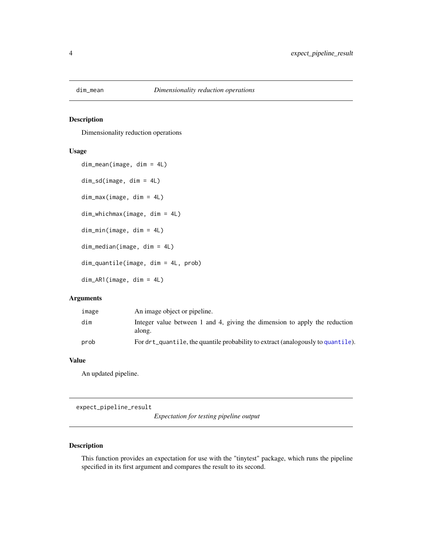<span id="page-3-0"></span>

Dimensionality reduction operations

# Usage

```
dim_mean(image, dim = 4L)
dim_sd(image, dim = 4L)
dim_max(image, dim = 4L)
dim_whichmax(image, dim = 4L)
dim_min(image, dim = 4L)
dim_median(image, dim = 4L)
dim_quantile(image, dim = 4L, prob)
dim_AR1(image, dim = 4L)
```
#### Arguments

| image | An image object or pipeline.                                                         |
|-------|--------------------------------------------------------------------------------------|
| dim   | Integer value between 1 and 4, giving the dimension to apply the reduction<br>along. |
| prob  | For drt_quantile, the quantile probability to extract (analogously to quantile).     |

#### Value

An updated pipeline.

expect\_pipeline\_result

*Expectation for testing pipeline output*

### Description

This function provides an expectation for use with the "tinytest" package, which runs the pipeline specified in its first argument and compares the result to its second.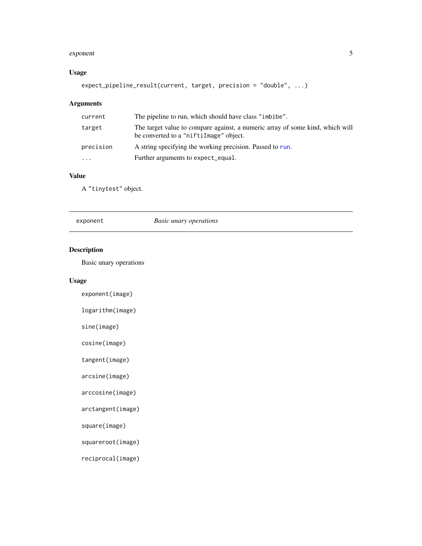#### <span id="page-4-0"></span>exponent 5

# Usage

expect\_pipeline\_result(current, target, precision = "double", ...)

# Arguments

| current   | The pipeline to run, which should have class "imbibe".                                                                  |
|-----------|-------------------------------------------------------------------------------------------------------------------------|
| target    | The target value to compare against, a numeric array of some kind, which will<br>be converted to a "niftiImage" object. |
| precision | A string specifying the working precision. Passed to run.                                                               |
| $\cdots$  | Further arguments to expect_equal.                                                                                      |

#### Value

A "tinytest" object.

| <b>Basic unary operations</b><br>exponent |
|-------------------------------------------|
|-------------------------------------------|

# Description

Basic unary operations

# Usage

exponent(image)

logarithm(image)

sine(image)

cosine(image)

tangent(image)

arcsine(image)

arccosine(image)

arctangent(image)

square(image)

squareroot(image)

reciprocal(image)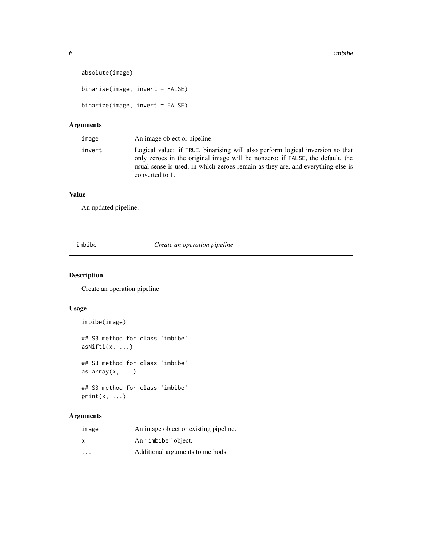```
absolute(image)
binarise(image, invert = FALSE)
```
binarize(image, invert = FALSE)

# Arguments

| image  | An image object or pipeline.                                                                                                                                                                                                                                          |
|--------|-----------------------------------------------------------------------------------------------------------------------------------------------------------------------------------------------------------------------------------------------------------------------|
| invert | Logical value: if TRUE, binarising will also perform logical inversion so that<br>only zeroes in the original image will be nonzero; if FALSE, the default, the<br>usual sense is used, in which zeroes remain as they are, and everything else is<br>converted to 1. |

# Value

An updated pipeline.

imbibe *Create an operation pipeline*

# Description

Create an operation pipeline

#### Usage

imbibe(image)

```
## S3 method for class 'imbibe'
asNifti(x, ...)
## S3 method for class 'imbibe'
```
as.array $(x, \ldots)$ 

## S3 method for class 'imbibe'  $print(x, \ldots)$ 

# Arguments

| image                   | An image object or existing pipeline. |
|-------------------------|---------------------------------------|
| $\times$                | An "imbibe" object.                   |
| $\cdot$ $\cdot$ $\cdot$ | Additional arguments to methods.      |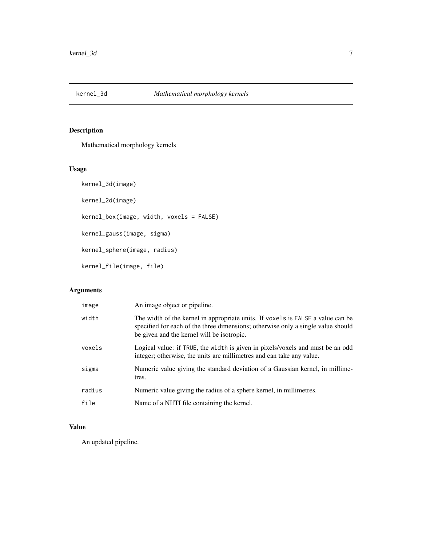<span id="page-6-1"></span><span id="page-6-0"></span>

Mathematical morphology kernels

# Usage

kernel\_3d(image) kernel\_2d(image) kernel\_box(image, width, voxels = FALSE) kernel\_gauss(image, sigma) kernel\_sphere(image, radius) kernel\_file(image, file)

# Arguments

| image  | An image object or pipeline.                                                                                                                                                                                      |
|--------|-------------------------------------------------------------------------------------------------------------------------------------------------------------------------------------------------------------------|
| width  | The width of the kernel in appropriate units. If voxels is FALSE a value can be<br>specified for each of the three dimensions; otherwise only a single value should<br>be given and the kernel will be isotropic. |
| voxels | Logical value: if TRUE, the width is given in pixels/voxels and must be an odd<br>integer; otherwise, the units are millimetres and can take any value.                                                           |
| sigma  | Numeric value giving the standard deviation of a Gaussian kernel, in millime-<br>tres.                                                                                                                            |
| radius | Numeric value giving the radius of a sphere kernel, in millimetres.                                                                                                                                               |
| file   | Name of a NIfTI file containing the kernel.                                                                                                                                                                       |

# Value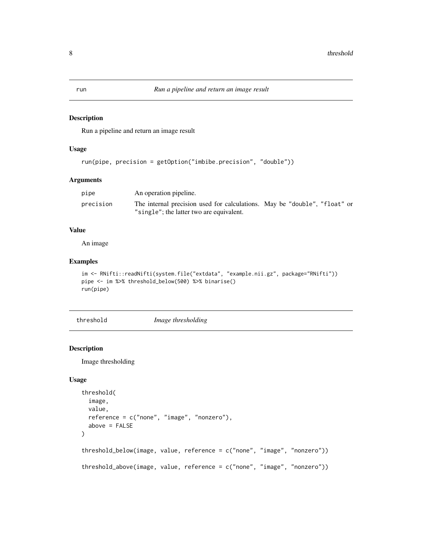Run a pipeline and return an image result

#### Usage

```
run(pipe, precision = getOption("imbibe.precision", "double"))
```
# Arguments

| pipe      | An operation pipeline.                                                                                                |  |
|-----------|-----------------------------------------------------------------------------------------------------------------------|--|
| precision | The internal precision used for calculations. May be "double", "float" or<br>"single"; the latter two are equivalent. |  |

# Value

An image

# Examples

```
im <- RNifti::readNifti(system.file("extdata", "example.nii.gz", package="RNifti"))
pipe <- im %>% threshold_below(500) %>% binarise()
run(pipe)
```
threshold *Image thresholding*

# Description

Image thresholding

#### Usage

```
threshold(
 image,
 value,
 reference = c("none", "image", "nonzero"),
 above = FALSE
)
threshold_below(image, value, reference = c("none", "image", "nonzero"))
threshold_above(image, value, reference = c("none", "image", "nonzero"))
```
<span id="page-7-1"></span><span id="page-7-0"></span>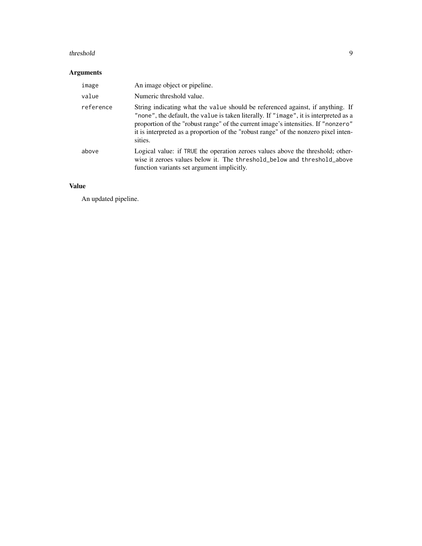#### threshold 9

# Arguments

| image     | An image object or pipeline.                                                                                                                                                                                                                                                                                                                                   |
|-----------|----------------------------------------------------------------------------------------------------------------------------------------------------------------------------------------------------------------------------------------------------------------------------------------------------------------------------------------------------------------|
| value     | Numeric threshold value.                                                                                                                                                                                                                                                                                                                                       |
| reference | String indicating what the value should be referenced against, if anything. If<br>"none", the default, the value is taken literally. If "image", it is interpreted as a<br>proportion of the "robust range" of the current image's intensities. If "nonzero"<br>it is interpreted as a proportion of the "robust range" of the nonzero pixel inten-<br>sities. |
| above     | Logical value: if TRUE the operation zeroes values above the threshold; other-<br>wise it zeroes values below it. The threshold_below and threshold_above<br>function variants set argument implicitly.                                                                                                                                                        |

# Value